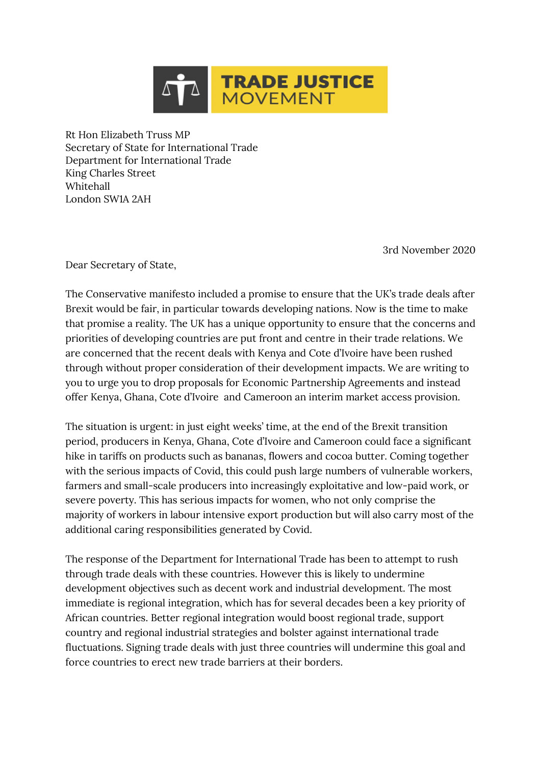

Rt Hon Elizabeth Truss MP Secretary of State for International Trade Department for International Trade King Charles Street Whitehall London SW1A 2AH

3rd November 2020

Dear Secretary of State,

The Conservative manifesto included a promise to ensure that the UK's trade deals after Brexit would be fair, in particular towards developing nations. Now is the time to make that promise a reality. The UK has a unique opportunity to ensure that the concerns and priorities of developing countries are put front and centre in their trade relations. We are concerned that the recent deals with Kenya and Cote d'Ivoire have been rushed through without proper consideration of their development impacts. We are writing to you to urge you to drop proposals for Economic Partnership Agreements and instead offer Kenya, Ghana, Cote d'Ivoire and Cameroon an interim market access provision.

The situation is urgent: in just eight weeks' time, at the end of the Brexit transition period, producers in Kenya, Ghana, Cote d'Ivoire and Cameroon could face a significant hike in tariffs on products such as bananas, flowers and cocoa butter. Coming together with the serious impacts of Covid, this could push large numbers of vulnerable workers, farmers and small-scale producers into increasingly exploitative and low-paid work, or severe poverty. This has serious impacts for women, who not only comprise the majority of workers in labour intensive export production but will also carry most of the additional caring responsibilities generated by Covid.

The response of the Department for International Trade has been to attempt to rush through trade deals with these countries. However this is likely to undermine development objectives such as decent work and industrial development. The most immediate is regional integration, which has for several decades been a key priority of African countries. Better regional integration would boost regional trade, support country and regional industrial strategies and bolster against international trade fluctuations. Signing trade deals with just three countries will undermine this goal and force countries to erect new trade barriers at their borders.